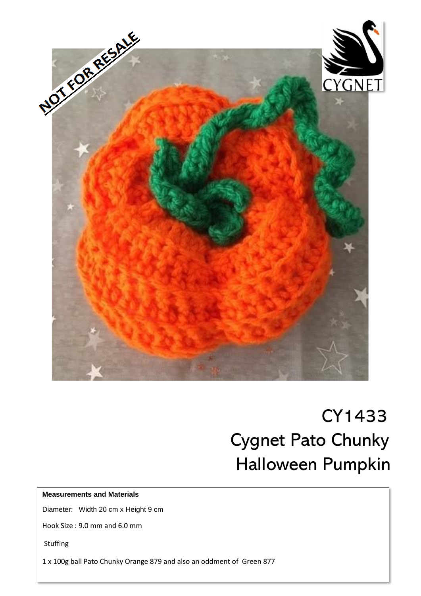

# CY1433 Cygnet Pato Chunky Halloween Pumpkin

#### **Measurements and Materials**

Diameter: Width 20 cm x Height 9 cm

Hook Size : 9.0 mm and 6.0 mm

Stuffing

1 x 100g ball Pato Chunky Orange 879 and also an oddment of Green 877